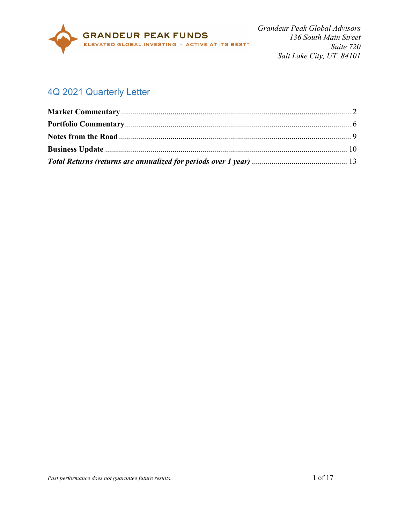

# 4Q 2021 Quarterly Letter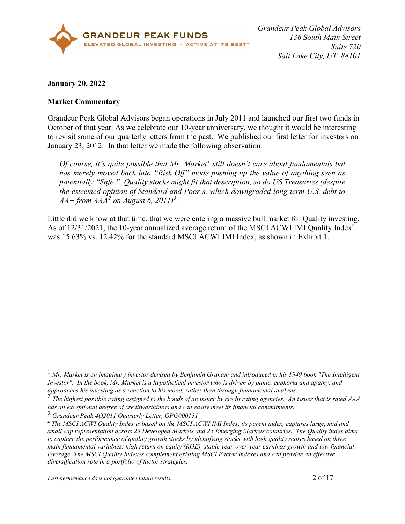

#### **January 20, 2022**

#### <span id="page-1-0"></span>**Market Commentary**

Grandeur Peak Global Advisors began operations in July 2011 and launched our first two funds in October of that year. As we celebrate our 10-year anniversary, we thought it would be interesting to revisit some of our quarterly letters from the past. We published our first letter for investors on January 23, 2012. In that letter we made the following observation:

*Of course, it's quite possible that Mr. Market[1](#page-1-1) still doesn't care about fundamentals but has merely moved back into "Risk Off" mode pushing up the value of anything seen as potentially "Safe." Quality stocks might fit that description, so do US Treasuries (despite the esteemed opinion of Standard and Poor's, which downgraded long-term U.S. debt to AA+ from AAA[2](#page-1-2) on August 6, 2011)[3](#page-1-3) .*

Little did we know at that time, that we were entering a massive bull market for Quality investing. As of 12/31/2021, the 10-year annualized average return of the MSCI ACWI IMI Quality Index<sup>[4](#page-1-4)</sup> was 15.63% vs. 12.42% for the standard MSCI ACWI IMI Index, as shown in Exhibit 1.

<span id="page-1-1"></span> <sup>1</sup> *Mr. Market is an imaginary investor devised by Benjamin Graham and introduced in his 1949 book "The Intelligent Investor". In the book, Mr. Market is a hypothetical investor who is driven by panic, euphoria and apathy, and approaches his investing as a reaction to his mood, rather than through fundamental analysis.*

<span id="page-1-2"></span><sup>2</sup> *The highest possible rating assigned to the bonds of an issuer by credit rating agencies. An issuer that is rated AAA has an exceptional degree of creditworthiness and can easily meet its financial commitments.*

<span id="page-1-3"></span><sup>3</sup> *Grandeur Peak 4Q2011 Quarterly Letter, GPG000131*

<span id="page-1-4"></span><sup>4</sup> *The MSCI ACWI Quality Index is based on the MSCI ACWI IMI Index, its parent index, captures large, mid and small cap representation across 23 Developed Markets and 25 Emerging Markets countries. The Quality index aims to capture the performance of quality growth stocks by identifying stocks with high quality scores based on three main fundamental variables: high return on equity (ROE), stable year-over-year earnings growth and low financial leverage. The MSCI Quality Indexes complement existing MSCI Factor Indexes and can provide an effective diversification role in a portfolio of factor strategies.*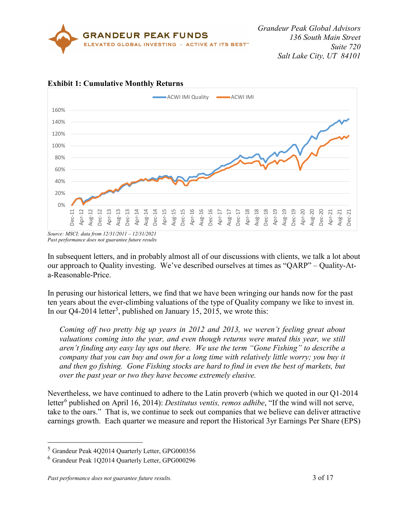



# **Exhibit 1: Cumulative Monthly Returns**

In subsequent letters, and in probably almost all of our discussions with clients, we talk a lot about our approach to Quality investing. We've described ourselves at times as "QARP" – Quality-Ata-Reasonable-Price.

In perusing our historical letters, we find that we have been wringing our hands now for the past ten years about the ever-climbing valuations of the type of Quality company we like to invest in. In our Q4-2014 letter<sup>[5](#page-2-0)</sup>, published on January 15, 2015, we wrote this:

*Coming off two pretty big up years in 2012 and 2013, we weren't feeling great about valuations coming into the year, and even though returns were muted this year, we still aren't finding any easy lay ups out there. We use the term "Gone Fishing" to describe a company that you can buy and own for a long time with relatively little worry; you buy it and then go fishing. Gone Fishing stocks are hard to find in even the best of markets, but over the past year or two they have become extremely elusive.*

Nevertheless, we have continued to adhere to the Latin proverb (which we quoted in our Q1-2014 letter<sup>[6](#page-2-1)</sup> published on April 16, 2014): *Destitutus ventis, remos adhibe*, "If the wind will not serve, take to the oars." That is, we continue to seek out companies that we believe can deliver attractive earnings growth. Each quarter we measure and report the Historical 3yr Earnings Per Share (EPS)

*Source: MSCI; data from 12/31/2011 – 12/31/2021 Past performance does not guarantee future results*

<span id="page-2-0"></span> <sup>5</sup> Grandeur Peak 4Q2014 Quarterly Letter, GPG000356

<span id="page-2-1"></span><sup>6</sup> Grandeur Peak 1Q2014 Quarterly Letter, GPG000296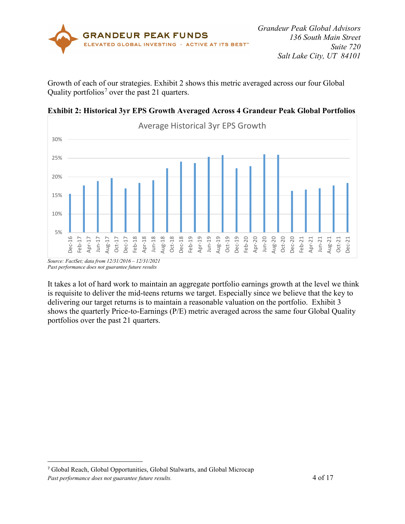

Growth of each of our strategies. Exhibit 2 shows this metric averaged across our four Global Quality portfolios<sup>[7](#page-3-0)</sup> over the past 21 quarters.



#### **Exhibit 2: Historical 3yr EPS Growth Averaged Across 4 Grandeur Peak Global Portfolios**

It takes a lot of hard work to maintain an aggregate portfolio earnings growth at the level we think is requisite to deliver the mid-teens returns we target. Especially since we believe that the key to delivering our target returns is to maintain a reasonable valuation on the portfolio. Exhibit 3 shows the quarterly Price-to-Earnings (P/E) metric averaged across the same four Global Quality portfolios over the past 21 quarters.

 $\overline{a}$ 

*Past performance does not guarantee future results*

<span id="page-3-0"></span><sup>7</sup> Global Reach, Global Opportunities, Global Stalwarts, and Global Microcap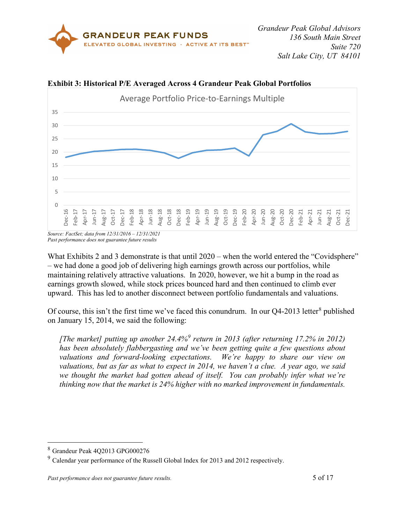



**Exhibit 3: Historical P/E Averaged Across 4 Grandeur Peak Global Portfolios**

*Source: FactSet; data from 12/31/2016 – 12/31/2021 Past performance does not guarantee future results*

What Exhibits 2 and 3 demonstrate is that until 2020 – when the world entered the "Covidsphere" – we had done a good job of delivering high earnings growth across our portfolios, while maintaining relatively attractive valuations. In 2020, however, we hit a bump in the road as earnings growth slowed, while stock prices bounced hard and then continued to climb ever upward. This has led to another disconnect between portfolio fundamentals and valuations.

Of course, this isn't the first time we've faced this conundrum. In our  $Q4-2013$  letter<sup>[8](#page-4-0)</sup> published on January 15, 2014, we said the following:

*[The market] putting up another 24.4%[9](#page-4-1) return in 2013 (after returning 17.2% in 2012) has been absolutely flabbergasting and we've been getting quite a few questions about valuations and forward-looking expectations. We're happy to share our view on valuations, but as far as what to expect in 2014, we haven't a clue. A year ago, we said*  we thought the market had gotten ahead of *itself.* You can probably infer what we're *thinking now that the market is 24% higher with no marked improvement in fundamentals.*

<span id="page-4-0"></span> <sup>8</sup> Grandeur Peak 4Q2013 GPG000276

<span id="page-4-1"></span><sup>9</sup> Calendar year performance of the Russell Global Index for 2013 and 2012 respectively.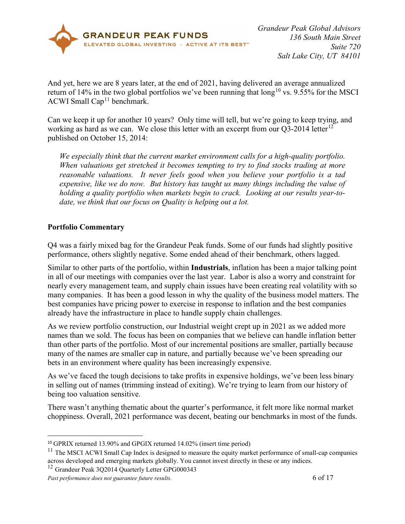

And yet, here we are 8 years later, at the end of 2021, having delivered an average annualized return of 14% in the two global portfolios we've been running that  $long^{10}$  $long^{10}$  $long^{10}$  vs. 9.55% for the MSCI ACWI Small Cap<sup>[11](#page-5-2)</sup> benchmark.

Can we keep it up for another 10 years? Only time will tell, but we're going to keep trying, and working as hard as we can. We close this letter with an excerpt from our  $Q3-2014$  letter<sup>[12](#page-5-3)</sup> published on October 15, 2014:

*We especially think that the current market environment calls for a high-quality portfolio. When valuations get stretched it becomes tempting to try to find stocks trading at more reasonable valuations. It never feels good when you believe your portfolio is a tad expensive, like we do now. But history has taught us many things including the value of holding a quality portfolio when markets begin to crack. Looking at our results year-todate, we think that our focus on Quality is helping out a lot.*

# <span id="page-5-0"></span>**Portfolio Commentary**

Q4 was a fairly mixed bag for the Grandeur Peak funds. Some of our funds had slightly positive performance, others slightly negative. Some ended ahead of their benchmark, others lagged.

Similar to other parts of the portfolio, within **Industrials**, inflation has been a major talking point in all of our meetings with companies over the last year. Labor is also a worry and constraint for nearly every management team, and supply chain issues have been creating real volatility with so many companies. It has been a good lesson in why the quality of the business model matters. The best companies have pricing power to exercise in response to inflation and the best companies already have the infrastructure in place to handle supply chain challenges.

As we review portfolio construction, our Industrial weight crept up in 2021 as we added more names than we sold. The focus has been on companies that we believe can handle inflation better than other parts of the portfolio. Most of our incremental positions are smaller, partially because many of the names are smaller cap in nature, and partially because we've been spreading our bets in an environment where quality has been increasingly expensive.

As we've faced the tough decisions to take profits in expensive holdings, we've been less binary in selling out of names (trimming instead of exiting). We're trying to learn from our history of being too valuation sensitive.

There wasn't anything thematic about the quarter's performance, it felt more like normal market choppiness. Overall, 2021 performance was decent, beating our benchmarks in most of the funds.

 $\overline{a}$ 

<span id="page-5-1"></span><sup>10</sup> GPRIX returned 13.90% and GPGIX returned 14.02% (insert time period)

<span id="page-5-2"></span><sup>&</sup>lt;sup>11</sup> The MSCI ACWI Small Cap Index is designed to measure the equity market performance of small-cap companies across developed and emerging markets globally. You cannot invest directly in these or any indices.

<span id="page-5-3"></span><sup>&</sup>lt;sup>12</sup> Grandeur Peak 3Q2014 Quarterly Letter GPG000343

*Past performance does not guarantee future results.* 6 of 17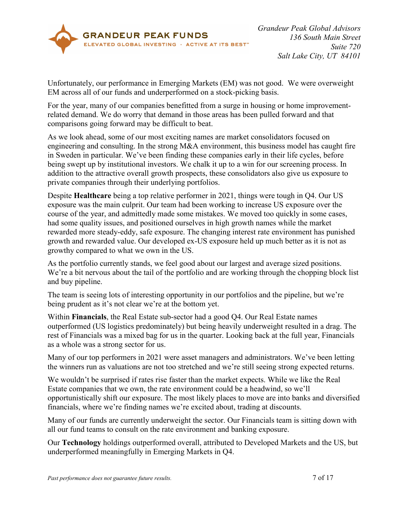

Unfortunately, our performance in Emerging Markets (EM) was not good. We were overweight EM across all of our funds and underperformed on a stock-picking basis.

For the year, many of our companies benefitted from a surge in housing or home improvementrelated demand. We do worry that demand in those areas has been pulled forward and that comparisons going forward may be difficult to beat.

As we look ahead, some of our most exciting names are market consolidators focused on engineering and consulting. In the strong M&A environment, this business model has caught fire in Sweden in particular. We've been finding these companies early in their life cycles, before being swept up by institutional investors. We chalk it up to a win for our screening process. In addition to the attractive overall growth prospects, these consolidators also give us exposure to private companies through their underlying portfolios.

Despite **Healthcare** being a top relative performer in 2021, things were tough in Q4. Our US exposure was the main culprit. Our team had been working to increase US exposure over the course of the year, and admittedly made some mistakes. We moved too quickly in some cases, had some quality issues, and positioned ourselves in high growth names while the market rewarded more steady-eddy, safe exposure. The changing interest rate environment has punished growth and rewarded value. Our developed ex-US exposure held up much better as it is not as growthy compared to what we own in the US.

As the portfolio currently stands, we feel good about our largest and average sized positions. We're a bit nervous about the tail of the portfolio and are working through the chopping block list and buy pipeline.

The team is seeing lots of interesting opportunity in our portfolios and the pipeline, but we're being prudent as it's not clear we're at the bottom yet.

Within **Financials**, the Real Estate sub-sector had a good Q4. Our Real Estate names outperformed (US logistics predominately) but being heavily underweight resulted in a drag. The rest of Financials was a mixed bag for us in the quarter. Looking back at the full year, Financials as a whole was a strong sector for us.

Many of our top performers in 2021 were asset managers and administrators. We've been letting the winners run as valuations are not too stretched and we're still seeing strong expected returns.

We wouldn't be surprised if rates rise faster than the market expects. While we like the Real Estate companies that we own, the rate environment could be a headwind, so we'll opportunistically shift our exposure. The most likely places to move are into banks and diversified financials, where we're finding names we're excited about, trading at discounts.

Many of our funds are currently underweight the sector. Our Financials team is sitting down with all our fund teams to consult on the rate environment and banking exposure.

Our **Technology** holdings outperformed overall, attributed to Developed Markets and the US, but underperformed meaningfully in Emerging Markets in Q4.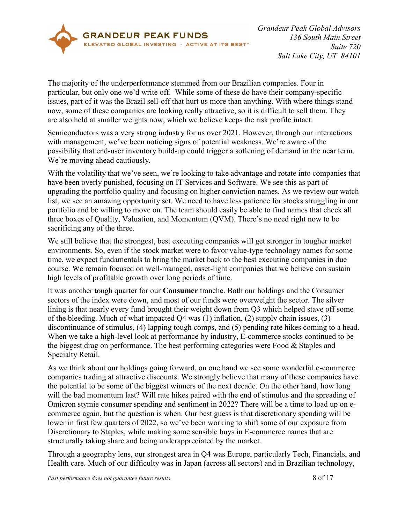

The majority of the underperformance stemmed from our Brazilian companies. Four in particular, but only one we'd write off. While some of these do have their company-specific issues, part of it was the Brazil sell-off that hurt us more than anything. With where things stand now, some of these companies are looking really attractive, so it is difficult to sell them. They are also held at smaller weights now, which we believe keeps the risk profile intact.

Semiconductors was a very strong industry for us over 2021. However, through our interactions with management, we've been noticing signs of potential weakness. We're aware of the possibility that end-user inventory build-up could trigger a softening of demand in the near term. We're moving ahead cautiously.

With the volatility that we've seen, we're looking to take advantage and rotate into companies that have been overly punished, focusing on IT Services and Software. We see this as part of upgrading the portfolio quality and focusing on higher conviction names. As we review our watch list, we see an amazing opportunity set. We need to have less patience for stocks struggling in our portfolio and be willing to move on. The team should easily be able to find names that check all three boxes of Quality, Valuation, and Momentum (QVM). There's no need right now to be sacrificing any of the three.

We still believe that the strongest, best executing companies will get stronger in tougher market environments. So, even if the stock market were to favor value-type technology names for some time, we expect fundamentals to bring the market back to the best executing companies in due course. We remain focused on well-managed, asset-light companies that we believe can sustain high levels of profitable growth over long periods of time.

It was another tough quarter for our **Consumer** tranche. Both our holdings and the Consumer sectors of the index were down, and most of our funds were overweight the sector. The silver lining is that nearly every fund brought their weight down from Q3 which helped stave off some of the bleeding. Much of what impacted Q4 was (1) inflation, (2) supply chain issues, (3) discontinuance of stimulus, (4) lapping tough comps, and (5) pending rate hikes coming to a head. When we take a high-level look at performance by industry, E-commerce stocks continued to be the biggest drag on performance. The best performing categories were Food & Staples and Specialty Retail.

As we think about our holdings going forward, on one hand we see some wonderful e-commerce companies trading at attractive discounts. We strongly believe that many of these companies have the potential to be some of the biggest winners of the next decade. On the other hand, how long will the bad momentum last? Will rate hikes paired with the end of stimulus and the spreading of Omicron stymie consumer spending and sentiment in 2022? There will be a time to load up on ecommerce again, but the question is when. Our best guess is that discretionary spending will be lower in first few quarters of 2022, so we've been working to shift some of our exposure from Discretionary to Staples, while making some sensible buys in E-commerce names that are structurally taking share and being underappreciated by the market.

Through a geography lens, our strongest area in Q4 was Europe, particularly Tech, Financials, and Health care. Much of our difficulty was in Japan (across all sectors) and in Brazilian technology,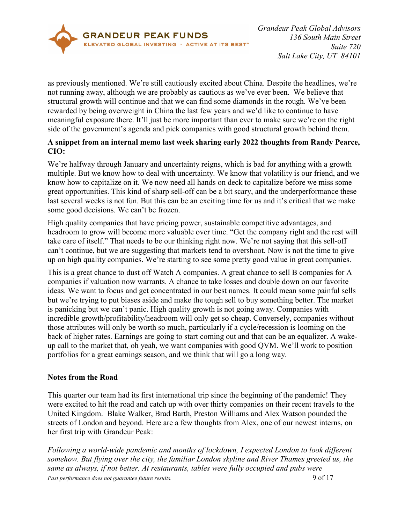

as previously mentioned. We're still cautiously excited about China. Despite the headlines, we're not running away, although we are probably as cautious as we've ever been. We believe that structural growth will continue and that we can find some diamonds in the rough. We've been rewarded by being overweight in China the last few years and we'd like to continue to have meaningful exposure there. It'll just be more important than ever to make sure we're on the right side of the government's agenda and pick companies with good structural growth behind them.

# **A snippet from an internal memo last week sharing early 2022 thoughts from Randy Pearce, CIO:**

We're halfway through January and uncertainty reigns, which is bad for anything with a growth multiple. But we know how to deal with uncertainty. We know that volatility is our friend, and we know how to capitalize on it. We now need all hands on deck to capitalize before we miss some great opportunities. This kind of sharp sell-off can be a bit scary, and the underperformance these last several weeks is not fun. But this can be an exciting time for us and it's critical that we make some good decisions. We can't be frozen.

High quality companies that have pricing power, sustainable competitive advantages, and headroom to grow will become more valuable over time. "Get the company right and the rest will take care of itself." That needs to be our thinking right now. We're not saying that this sell-off can't continue, but we are suggesting that markets tend to overshoot. Now is not the time to give up on high quality companies. We're starting to see some pretty good value in great companies.

This is a great chance to dust off Watch A companies. A great chance to sell B companies for A companies if valuation now warrants. A chance to take losses and double down on our favorite ideas. We want to focus and get concentrated in our best names. It could mean some painful sells but we're trying to put biases aside and make the tough sell to buy something better. The market is panicking but we can't panic. High quality growth is not going away. Companies with incredible growth/profitability/headroom will only get so cheap. Conversely, companies without those attributes will only be worth so much, particularly if a cycle/recession is looming on the back of higher rates. Earnings are going to start coming out and that can be an equalizer. A wakeup call to the market that, oh yeah, we want companies with good QVM. We'll work to position portfolios for a great earnings season, and we think that will go a long way.

# <span id="page-8-0"></span>**Notes from the Road**

This quarter our team had its first international trip since the beginning of the pandemic! They were excited to hit the road and catch up with over thirty companies on their recent travels to the United Kingdom. Blake Walker, Brad Barth, Preston Williams and Alex Watson pounded the streets of London and beyond. Here are a few thoughts from Alex, one of our newest interns, on her first trip with Grandeur Peak:

*Past performance does not guarantee future results.* 9 of 17 *Following a world-wide pandemic and months of lockdown, I expected London to look different somehow. But flying over the city, the familiar London skyline and River Thames greeted us, the same as always, if not better. At restaurants, tables were fully occupied and pubs were*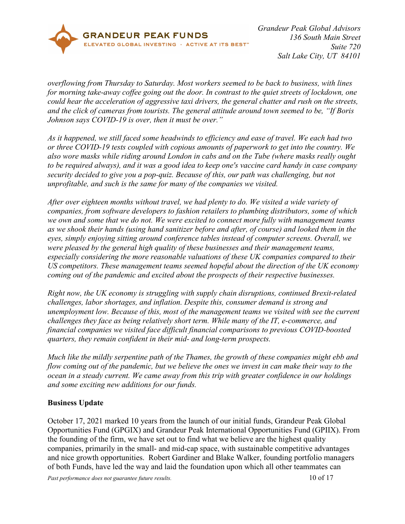

*overflowing from Thursday to Saturday. Most workers seemed to be back to business, with lines for morning take-away coffee going out the door. In contrast to the quiet streets of lockdown, one could hear the acceleration of aggressive taxi drivers, the general chatter and rush on the streets, and the click of cameras from tourists. The general attitude around town seemed to be, "If Boris Johnson says COVID-19 is over, then it must be over."* 

*As it happened, we still faced some headwinds to efficiency and ease of travel. We each had two or three COVID-19 tests coupled with copious amounts of paperwork to get into the country. We also wore masks while riding around London in cabs and on the Tube (where masks really ought to be required always), and it was a good idea to keep one's vaccine card handy in case company security decided to give you a pop-quiz. Because of this, our path was challenging, but not unprofitable, and such is the same for many of the companies we visited.*

*After over eighteen months without travel, we had plenty to do. We visited a wide variety of companies, from software developers to fashion retailers to plumbing distributors, some of which we own and some that we do not. We were excited to connect more fully with management teams as we shook their hands (using hand sanitizer before and after, of course) and looked them in the eyes, simply enjoying sitting around conference tables instead of computer screens. Overall, we were pleased by the general high quality of these businesses and their management teams, especially considering the more reasonable valuations of these UK companies compared to their US competitors. These management teams seemed hopeful about the direction of the UK economy coming out of the pandemic and excited about the prospects of their respective businesses.* 

*Right now, the UK economy is struggling with supply chain disruptions, continued Brexit-related challenges, labor shortages, and inflation. Despite this, consumer demand is strong and unemployment low. Because of this, most of the management teams we visited with see the current challenges they face as being relatively short term. While many of the IT, e-commerce, and financial companies we visited face difficult financial comparisons to previous COVID-boosted quarters, they remain confident in their mid- and long-term prospects.* 

*Much like the mildly serpentine path of the Thames, the growth of these companies might ebb and flow coming out of the pandemic, but we believe the ones we invest in can make their way to the ocean in a steady current. We came away from this trip with greater confidence in our holdings and some exciting new additions for our funds.*

# <span id="page-9-0"></span>**Business Update**

October 17, 2021 marked 10 years from the launch of our initial funds, Grandeur Peak Global Opportunities Fund (GPGIX) and Grandeur Peak International Opportunities Fund (GPIIX). From the founding of the firm, we have set out to find what we believe are the highest quality companies, primarily in the small- and mid-cap space, with sustainable competitive advantages and nice growth opportunities. Robert Gardiner and Blake Walker, founding portfolio managers of both Funds, have led the way and laid the foundation upon which all other teammates can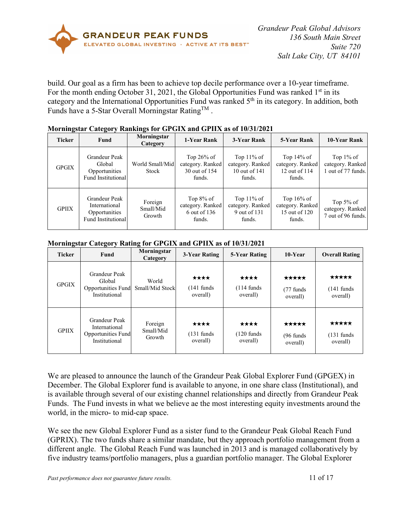

build. Our goal as a firm has been to achieve top decile performance over a 10-year timeframe. For the month ending October 31, 2021, the Global Opportunities Fund was ranked  $1<sup>st</sup>$  in its category and the International Opportunities Fund was ranked  $5<sup>th</sup>$  in its category. In addition, both Funds have a 5-Star Overall Morningstar Rating<sup>TM</sup>.

| $\rightarrow$ | $ \sim$                                                                                                 |                          |                                                            |                                                              |                                                              |                                                        |
|---------------|---------------------------------------------------------------------------------------------------------|--------------------------|------------------------------------------------------------|--------------------------------------------------------------|--------------------------------------------------------------|--------------------------------------------------------|
| <b>Ticker</b> | Fund                                                                                                    | Morningstar<br>Category  | 1-Year Rank                                                | 3-Year Rank                                                  | 5-Year Rank                                                  | 10-Year Rank                                           |
| <b>GPGIX</b>  | Grandeur Peak<br>Global<br>Opportunities<br>Fund Institutional                                          | World Small/Mid<br>Stock |                                                            | Top $11\%$ of<br>category. Ranked<br>10 out of 141<br>funds. | Top $14\%$ of<br>category. Ranked<br>12 out of 114<br>funds. | Top $1\%$ of<br>category. Ranked<br>1 out of 77 funds. |
| <b>GPIIX</b>  | Grandeur Peak<br>Foreign<br>International<br>Small/Mid<br>Opportunities<br>Growth<br>Fund Institutional |                          | Top $8\%$ of<br>category. Ranked<br>6 out of 136<br>funds. | Top $11\%$ of<br>category. Ranked<br>9 out of 131<br>funds.  | Top $16\%$ of<br>category. Ranked<br>15 out of 120<br>funds. | Top $5\%$ of<br>category. Ranked<br>7 out of 96 funds. |

### **Morningstar Category Rankings for GPGIX and GPIIX as of 10/31/2021**

#### **Morningstar Category Rating for GPGIX and GPIIX as of 10/31/2021**

| <b>Ticker</b> | Fund                                                                         | Morningstar<br>Category        | 3-Year Rating                             | 5-Year Rating                             | 10-Year                                   | <b>Overall Rating</b>                      |  |
|---------------|------------------------------------------------------------------------------|--------------------------------|-------------------------------------------|-------------------------------------------|-------------------------------------------|--------------------------------------------|--|
| <b>GPGIX</b>  | Grandeur Peak<br>Global<br>Opportunities Fund<br>Institutional               | World<br>Small/Mid Stock       | ****<br>$(141 \text{ funds})$<br>overall) | ****<br>$(114 \text{ funds})$<br>overall) | *****<br>$(77 \text{ funds})$<br>overall) | *****<br>$(141 \text{ funds})$<br>overall) |  |
| <b>GPIIX</b>  | Grandeur Peak<br>International<br><b>Opportunities Fund</b><br>Institutional | Foreign<br>Small/Mid<br>Growth | ****<br>$(131 \text{ funds})$<br>overall) | ****<br>$(120 \text{ funds})$<br>overall) | *****<br>$(96 \text{ funds})$<br>overall) | *****<br>$(131 \text{ funds})$<br>overall) |  |

We are pleased to announce the launch of the Grandeur Peak Global Explorer Fund (GPGEX) in December. The Global Explorer fund is available to anyone, in one share class (Institutional), and is available through several of our existing channel relationships and directly from Grandeur Peak Funds. The Fund invests in what we believe ae the most interesting equity investments around the world, in the micro- to mid-cap space.

We see the new Global Explorer Fund as a sister fund to the Grandeur Peak Global Reach Fund (GPRIX). The two funds share a similar mandate, but they approach portfolio management from a different angle. The Global Reach Fund was launched in 2013 and is managed collaboratively by five industry teams/portfolio managers, plus a guardian portfolio manager. The Global Explorer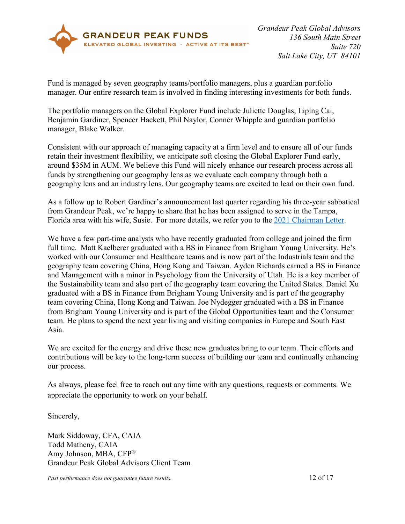

Fund is managed by seven geography teams/portfolio managers, plus a guardian portfolio manager. Our entire research team is involved in finding interesting investments for both funds.

The portfolio managers on the Global Explorer Fund include Juliette Douglas, Liping Cai, Benjamin Gardiner, Spencer Hackett, Phil Naylor, Conner Whipple and guardian portfolio manager, Blake Walker.

Consistent with our approach of managing capacity at a firm level and to ensure all of our funds retain their investment flexibility, we anticipate soft closing the Global Explorer Fund early, around \$35M in AUM. We believe this Fund will nicely enhance our research process across all funds by strengthening our geography lens as we evaluate each company through both a geography lens and an industry lens. Our geography teams are excited to lead on their own fund.

As a follow up to Robert Gardiner's announcement last quarter regarding his three-year sabbatical from Grandeur Peak, we're happy to share that he has been assigned to serve in the Tampa, Florida area with his wife, Susie. For more details, we refer you to the [2021 Chairman Letter.](https://www.grandeurpeakglobal.com/documents/grandeurpeakglobal-is-20211019.pdf)

We have a few part-time analysts who have recently graduated from college and joined the firm full time. Matt Kaelberer graduated with a BS in Finance from Brigham Young University. He's worked with our Consumer and Healthcare teams and is now part of the Industrials team and the geography team covering China, Hong Kong and Taiwan. Ayden Richards earned a BS in Finance and Management with a minor in Psychology from the University of Utah. He is a key member of the Sustainability team and also part of the geography team covering the United States. Daniel Xu graduated with a BS in Finance from Brigham Young University and is part of the geography team covering China, Hong Kong and Taiwan. Joe Nydegger graduated with a BS in Finance from Brigham Young University and is part of the Global Opportunities team and the Consumer team. He plans to spend the next year living and visiting companies in Europe and South East Asia.

We are excited for the energy and drive these new graduates bring to our team. Their efforts and contributions will be key to the long-term success of building our team and continually enhancing our process.

As always, please feel free to reach out any time with any questions, requests or comments. We appreciate the opportunity to work on your behalf.

Sincerely,

Mark Siddoway, CFA, CAIA Todd Matheny, CAIA Amy Johnson, MBA, CFP® Grandeur Peak Global Advisors Client Team

*Past performance does not guarantee future results.* 12 of 17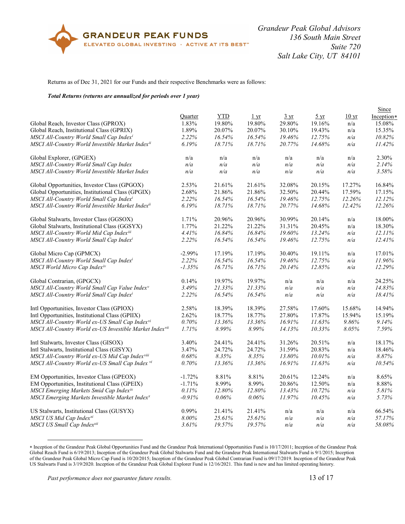

#### Returns as of Dec 31, 2021 for our Funds and their respective Benchmarks were as follows:

#### <span id="page-12-0"></span>*Total Returns (returns are annualized for periods over 1 year)*

|                                                            |           |        |                  |                |                        |                  | Since      |
|------------------------------------------------------------|-----------|--------|------------------|----------------|------------------------|------------------|------------|
|                                                            | Quarter   | YTD    | $1 \, \text{yr}$ | $3 \text{ yr}$ | $rac{5 \text{ yr}}{2}$ | 10 <sub>yr</sub> | Inception* |
| Global Reach, Investor Class (GPROX)                       | 1.83%     | 19.80% | 19.80%           | 29.80%         | 19.16%                 | n/a              | 15.08%     |
| Global Reach, Institutional Class (GPRIX)                  | 1.89%     | 20.07% | 20.07%           | 30.10%         | 19.43%                 | n/a              | 15.35%     |
| MSCI All-Country World Small Cap Indexi                    | 2.22%     | 16.54% | 16.54%           | 19.46%         | 12.75%                 | n/a              | 10.82%     |
| MSCI All-Country World Investible Market Indexii           | 6.19%     | 18.71% | 18.71%           | 20.77%         | 14.68%                 | n/a              | 11.42%     |
| Global Explorer, (GPGEX)                                   | n/a       | n/a    | n/a              | n/a            | n/a                    | n/a              | 2.30%      |
| MSCI All-Country World Small Cap Index                     | n/a       | n/a    | n/a              | n/a            | n/a                    | n/a              | 2.14%      |
| MSCI All-Country World Investible Market Index             | n/a       | n/a    | n/a              | n/a            | n/a                    | n/a              | 3.58%      |
| Global Opportunities, Investor Class (GPGOX)               | 2.53%     | 21.61% | 21.61%           | 32.08%         | 20.15%                 | 17.27%           | 16.84%     |
| Global Opportunities, Institutional Class (GPGIX)          | 2.68%     | 21.86% | 21.86%           | 32.50%         | 20.44%                 | 17.59%           | 17.15%     |
| MSCI All-Country World Small Cap Indexi                    | 2.22%     | 16.54% | 16.54%           | 19.46%         | 12.75%                 | 12.26%           | 12.12%     |
| MSCI All-Country World Investible Market Indexii           | 6.19%     | 18.71% | 18.71%           | 20.77%         | 14.68%                 | 12.42%           | 12.26%     |
| Global Stalwarts, Investor Class (GGSOX)                   | 1.71%     | 20.96% | 20.96%           | 30.99%         | 20.14%                 | n/a              | 18.00%     |
| Global Stalwarts, Institutional Class (GGSYX)              | 1.77%     | 21.22% | 21.22%           | 31.31%         | 20.45%                 | n/a              | 18.30%     |
| MSCI All-Country World Mid Cap Indexiii                    | 4.41%     | 16.84% | 16.84%           | 19.60%         | 13.24%                 | n/a              | 12.11%     |
| MSCI All-Country World Small Cap Indexi                    | 2.22%     | 16.54% | 16.54%           | 19.46%         | 12.75%                 | n/a              | 12.41%     |
| Global Micro Cap (GPMCX)                                   | $-2.99\%$ | 17.19% | 17.19%           | 30.40%         | 19.11%                 | n/a              | 17.01%     |
| MSCI All-Country World Small Cap Indexi                    | 2.22%     | 16.54% | 16.54%           | 19.46%         | 12.75%                 | n/a              | 11.96%     |
| MSCI World Micro Cap Indexiv                               | $-1.35%$  | 16.71% | 16.71%           | 20.14%         | 12.85%                 | n/a              | 12.29%     |
| Global Contrarian, (GPGCX)                                 | 0.14%     | 19.97% | 19.97%           | n/a            | n/a                    | n/a              | 24.25%     |
| MSCI All-Country World Small Cap Value Index <sup>v</sup>  | 3.49%     | 21.33% | 21.33%           | n/a            | n/a                    | n/a              | 14.83%     |
| MSCI All-Country World Small Cap Indexi                    | 2.22%     | 16.54% | 16.54%           | n/a            | n/a                    | n/a              | 18.41%     |
| Intl Opportunities, Investor Class (GPIOX)                 | 2.58%     | 18.39% | 18.39%           | 27.58%         | 17.60%                 | 15.68%           | 14.94%     |
| Intl Opportunities, Institutional Class (GPIIX)            | 2.62%     | 18.77% | 18.77%           | 27.80%         | 17.87%                 | 15.94%           | 15.19%     |
| MSCI All-Country World ex-US Small Cap Indexvi             | $0.70\%$  | 13.36% | 13.36%           | 16.91%         | 11.63%                 | 9.86%            | 9.14%      |
| MSCI All-Country World ex-US Investible Market Indexvii    | 1.71%     | 8.99%  | 8.99%            | 14.13%         | 10.33%                 | 8.05%            | 7.59%      |
| Intl Stalwarts, Investor Class (GISOX)                     | 3.40%     | 24.41% | 24.41%           | 31.26%         | 20.51%                 | n/a              | 18.17%     |
| Intl Stalwarts, Institutional Class (GISYX)                | 3.47%     | 24.72% | 24.72%           | 31.59%         | 20.83%                 | n/a              | 18.46%     |
| MSCI All-Country World ex-US Mid Cap Indexviii             | $0.68\%$  | 8.35%  | 8.35%            | 13.80%         | 10.01%                 | n/a              | 8.87%      |
| MSCI All-Country World ex-US Small Cap Index vi            | 0.70%     | 13.36% | 13.36%           | 16.91%         | 11.63%                 | n/a              | 10.54%     |
| EM Opportunities, Investor Class (GPEOX)                   | $-1.72%$  | 8.81%  | 8.81%            | $20.61\%$      | 12.24%                 | n/a              | 8.65%      |
| EM Opportunities, Institutional Class (GPEIX)              | $-1.71%$  | 8.99%  | 8.99%            | 20.86%         | 12.50%                 | n/a              | 8.88%      |
| MSCI Emerging Markets Smid Cap Indexix                     | 0.11%     | 12.80% | 12.80%           | 13.43%         | 10.72%                 | n/a              | 5.81%      |
| MSCI Emerging Markets Investible Market Index <sup>x</sup> | $-0.91\%$ | 0.06%  | $0.06\%$         | 11.97%         | 10.45%                 | n/a              | 5.73%      |
| US Stalwarts, Institutional Class (GUSYX)                  | 0.99%     | 21.41% | 21.41%           | n/a            | n/a                    | n/a              | 66.54%     |
| MSCI US Mid Cap Indexxi                                    | 8.00%     | 25.61% | 25.61%           | n/a            | n/a                    | n/a              | 57.17%     |
| MSCI US Small Cap Indexxii                                 | 3.61%     | 19.57% | 19.57%           | n/a            | n/a                    | n/a              | 58.08%     |

<span id="page-12-1"></span><sup>∗</sup> Inception of the Grandeur Peak Global Opportunities Fund and the Grandeur Peak International Opportunities Fund is 10/17/2011; Inception of the Grandeur Peak Global Reach Fund is 6/19/2013; Inception of the Grandeur Peak Global Stalwarts Fund and the Grandeur Peak International Stalwarts Fund is 9/1/2015; Inception of the Grandeur Peak Global Micro Cap Fund is 10/20/2015; Inception of the Grandeur Peak Global Contrarian Fund is 09/17/2019. Inception of the Grandeur Peak US Stalwarts Fund is 3/19/2020. Inception of the Grandeur Peak Global Explorer Fund is 12/16/2021. This fund is new and has limited operating history.

 $\overline{a}$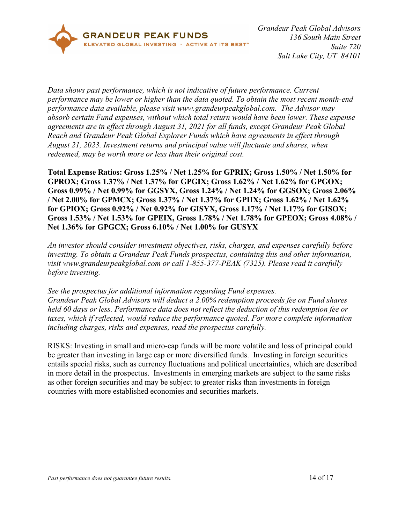

*Data shows past performance, which is not indicative of future performance. Current performance may be lower or higher than the data quoted. To obtain the most recent month-end performance data available, please visit www.grandeurpeakglobal.com. The Advisor may absorb certain Fund expenses, without which total return would have been lower. These expense agreements are in effect through August 31, 2021 for all funds, except Grandeur Peak Global Reach and Grandeur Peak Global Explorer Funds which have agreements in effect through August 21, 2023. Investment returns and principal value will fluctuate and shares, when redeemed, may be worth more or less than their original cost.*

**Total Expense Ratios: Gross 1.25% / Net 1.25% for GPRIX; Gross 1.50% / Net 1.50% for GPROX; Gross 1.37% / Net 1.37% for GPGIX; Gross 1.62% / Net 1.62% for GPGOX; Gross 0.99% / Net 0.99% for GGSYX, Gross 1.24% / Net 1.24% for GGSOX; Gross 2.06% / Net 2.00% for GPMCX; Gross 1.37% / Net 1.37% for GPIIX; Gross 1.62% / Net 1.62% for GPIOX; Gross 0.92% / Net 0.92% for GISYX, Gross 1.17% / Net 1.17% for GISOX; Gross 1.53% / Net 1.53% for GPEIX, Gross 1.78% / Net 1.78% for GPEOX; Gross 4.08% / Net 1.36% for GPGCX; Gross 6.10% / Net 1.00% for GUSYX**

*An investor should consider investment objectives, risks, charges, and expenses carefully before investing. To obtain a Grandeur Peak Funds prospectus, containing this and other information, visit www.grandeurpeakglobal.com or call 1-855-377-PEAK (7325). Please read it carefully before investing.*

*See the prospectus for additional information regarding Fund expenses. Grandeur Peak Global Advisors will deduct a 2.00% redemption proceeds fee on Fund shares held 60 days or less. Performance data does not reflect the deduction of this redemption fee or taxes, which if reflected, would reduce the performance quoted. For more complete information including charges, risks and expenses, read the prospectus carefully.* 

RISKS: Investing in small and micro-cap funds will be more volatile and loss of principal could be greater than investing in large cap or more diversified funds. Investing in foreign securities entails special risks, such as currency fluctuations and political uncertainties, which are described in more detail in the prospectus. Investments in emerging markets are subject to the same risks as other foreign securities and may be subject to greater risks than investments in foreign countries with more established economies and securities markets.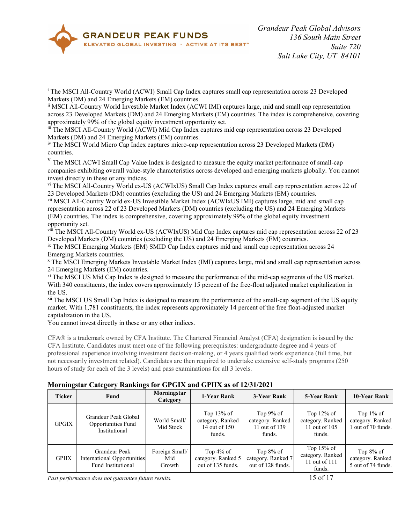

 $\overline{a}$ 

<span id="page-14-3"></span>iv The MSCI World Micro Cap Index captures micro-cap representation across 23 Developed Markets (DM) countries.

<span id="page-14-4"></span><sup>v</sup> The MSCI ACWI Small Cap Value Index is designed to measure the equity market performance of small-cap companies exhibiting overall value-style characteristics across developed and emerging markets globally. You cannot invest directly in these or any indices.

<span id="page-14-5"></span>vi The MSCI All-Country World ex-US (ACWIxUS) Small Cap Index captures small cap representation across 22 of 23 Developed Markets (DM) countries (excluding the US) and 24 Emerging Markets (EM) countries.

<span id="page-14-6"></span>vii MSCI All-Country World ex-US Investible Market Index (ACWIxUS IMI) captures large, mid and small cap representation across 22 of 23 Developed Markets (DM) countries (excluding the US) and 24 Emerging Markets (EM) countries. The index is comprehensive, covering approximately 99% of the global equity investment opportunity set.

<span id="page-14-7"></span>viii The MSCI All-Country World ex-US (ACWIxUS) Mid Cap Index captures mid cap representation across 22 of 23 Developed Markets (DM) countries (excluding the US) and 24 Emerging Markets (EM) countries.

<span id="page-14-8"></span>ix The MSCI Emerging Markets (EM) SMID Cap Index captures mid and small cap representation across 24 Emerging Markets countries.

<span id="page-14-9"></span><sup>x</sup> The MSCI Emerging Markets Investable Market Index (IMI) captures large, mid and small cap representation across 24 Emerging Markets (EM) countries.

xi The MSCI US Mid Cap Index is designed to measure the performance of the mid-cap segments of the US market. With 340 constituents, the index covers approximately 15 percent of the free-float adjusted market capitalization in the US.

<sup>xii</sup> The MSCI US Small Cap Index is designed to measure the performance of the small-cap segment of the US equity market. With 1,781 constituents, the index represents approximately 14 percent of the free float-adjusted market capitalization in the US.

You cannot invest directly in these or any other indices.

CFA® is a trademark owned by CFA Institute. The Chartered Financial Analyst (CFA) designation is issued by the CFA Institute. Candidates must meet one of the following prerequisites: undergraduate degree and 4 years of professional experience involving investment decision-making, or 4 years qualified work experience (full time, but not necessarily investment related). Candidates are then required to undertake extensive self-study programs (250 hours of study for each of the 3 levels) and pass examinations for all 3 levels.

| $\frac{1}{2}$ |                                                                    |                                        |                                                              |                                                             |                                                                                  |                                                        |  |  |
|---------------|--------------------------------------------------------------------|----------------------------------------|--------------------------------------------------------------|-------------------------------------------------------------|----------------------------------------------------------------------------------|--------------------------------------------------------|--|--|
| <b>Ticker</b> | Fund                                                               | Morningstar<br>1-Year Rank<br>Category |                                                              | 3-Year Rank                                                 | 5-Year Rank                                                                      | 10-Year Rank                                           |  |  |
| <b>GPGIX</b>  | Grandeur Peak Global<br>Opportunities Fund<br>Institutional        | World Small/<br>Mid Stock              | Top $13\%$ of<br>category. Ranked<br>14 out of 150<br>funds. | Top $9\%$ of<br>category. Ranked<br>11 out of 139<br>funds. | Top $12\%$ of<br>category. Ranked<br>11 out of 105<br>funds.                     | Top $1\%$ of<br>category. Ranked<br>out of 70 funds.   |  |  |
| <b>GPIIX</b>  | Grandeur Peak<br>International Opportunities<br>Fund Institutional | Foreign Small/<br>Mid<br>Growth        | Top $4\%$ of<br>category. Ranked 5<br>out of 135 funds.      | Top $8\%$ of<br>category. Ranked 7<br>out of 128 funds.     | Top $15\%$ of<br>category. Ranked<br>11 out of 111<br>$f_{\text{max}}$ $\lambda$ | Top $8\%$ of<br>category. Ranked<br>5 out of 74 funds. |  |  |

#### **Morningstar Category Rankings for GPGIX and GPIIX as of 12/31/2021**

*Past performance does not guarantee future results.* 15 of 17

<span id="page-14-0"></span><sup>i</sup> The MSCI All-Country World (ACWI) Small Cap Index captures small cap representation across 23 Developed Markets (DM) and 24 Emerging Markets (EM) countries.

<span id="page-14-1"></span>ii MSCI All-Country World Investible Market Index (ACWI IMI) captures large, mid and small cap representation across 23 Developed Markets (DM) and 24 Emerging Markets (EM) countries. The index is comprehensive, covering approximately 99% of the global equity investment opportunity set.

<span id="page-14-2"></span>iii The MSCI All-Country World (ACWI) Mid Cap Index captures mid cap representation across 23 Developed Markets (DM) and 24 Emerging Markets (EM) countries.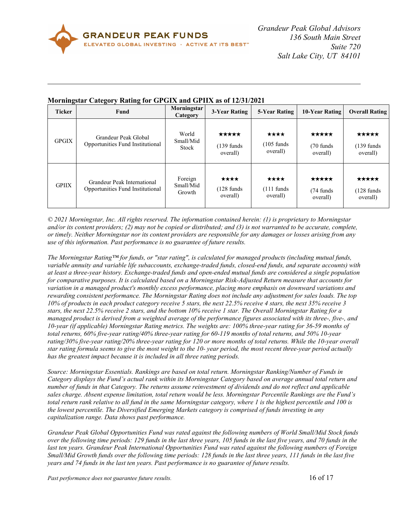

 $\overline{a}$ 

| $\bullet$<br><b>Ticker</b> | -<br>Fund                                                       | Morningstar<br>Category        | 3-Year Rating                              | 5-Year Rating                             | 10-Year Rating                            | <b>Overall Rating</b>                      |
|----------------------------|-----------------------------------------------------------------|--------------------------------|--------------------------------------------|-------------------------------------------|-------------------------------------------|--------------------------------------------|
| <b>GPGIX</b>               | Grandeur Peak Global<br>Opportunities Fund Institutional        | World<br>Small/Mid<br>Stock    | *****<br>$(139 \text{ funds})$<br>overall) | ****<br>$(105 \text{ funds})$<br>overall) | *****<br>$(70 \text{ funds})$<br>overall) | *****<br>$(139 \text{ funds})$<br>overall) |
| <b>GPIIX</b>               | Grandeur Peak International<br>Opportunities Fund Institutional | Foreign<br>Small/Mid<br>Growth | ****<br>$(128 \text{ funds})$<br>overall)  | ****<br>$(111 \text{ funds})$<br>overall) | *****<br>$(74 \text{ funds})$<br>overall) | *****<br>$(128 \text{ funds})$<br>overall) |

### **Morningstar Category Rating for GPGIX and GPIIX as of 12/31/2021**

<span id="page-15-0"></span>*© 2021 Morningstar, Inc. All rights reserved. The information contained herein: (1) is proprietary to Morningstar and/or its content providers; (2) may not be copied or distributed; and (3) is not warranted to be accurate, complete, or timely. Neither Morningstar nor its content providers are responsible for any damages or losses arising from any use of this information. Past performance is no guarantee of future results.*

*The Morningstar Rating™ for funds, or "star rating", is calculated for managed products (including mutual funds, variable annuity and variable life subaccounts, exchange-traded funds, closed-end funds, and separate accounts) with at least a three-year history. Exchange-traded funds and open-ended mutual funds are considered a single population for comparative purposes. It is calculated based on a Morningstar Risk-Adjusted Return measure that accounts for variation in a managed product's monthly excess performance, placing more emphasis on downward variations and rewarding consistent performance. The Morningstar Rating does not include any adjustment for sales loads. The top 10% of products in each product category receive 5 stars, the next 22.5% receive 4 stars, the next 35% receive 3 stars, the next 22.5% receive 2 stars, and the bottom 10% receive 1 star. The Overall Morningstar Rating for a managed product is derived from a weighted average of the performance figures associated with its three-, five-, and 10-year (if applicable) Morningstar Rating metrics. The weights are: 100% three-year rating for 36-59 months of total returns, 60% five-year rating/40% three-year rating for 60-119 months of total returns, and 50% 10-year rating/30% five-year rating/20% three-year rating for 120 or more months of total returns. While the 10-year overall star rating formula seems to give the most weight to the 10- year period, the most recent three-year period actually has the greatest impact because it is included in all three rating periods.*

*Source: Morningstar Essentials. Rankings are based on total return. Morningstar Ranking/Number of Funds in Category displays the Fund's actual rank within its Morningstar Category based on average annual total return and number of funds in that Category. The returns assume reinvestment of dividends and do not reflect and applicable sales charge. Absent expense limitation, total return would be less. Morningstar Percentile Rankings are the Fund's total return rank relative to all fund in the same Morningstar category, where 1 is the highest percentile and 100 is the lowest percentile. The Diversified Emerging Markets category is comprised of funds investing in any capitalization range. Data shows past performance.* 

*Grandeur Peak Global Opportunities Fund was rated against the following numbers of World Small/Mid Stock funds over the following time periods: 129 funds in the last three years, 105 funds in the last five years, and 70 funds in the*  last ten years. Grandeur Peak International Opportunities Fund was rated against the following numbers of Foreign *Small/Mid Growth funds over the following time periods: 128 funds in the last three years, 111 funds in the last five years and 74 funds in the last ten years. Past performance is no guarantee of future results.*

*Past performance does not guarantee future results.* 16 of 17